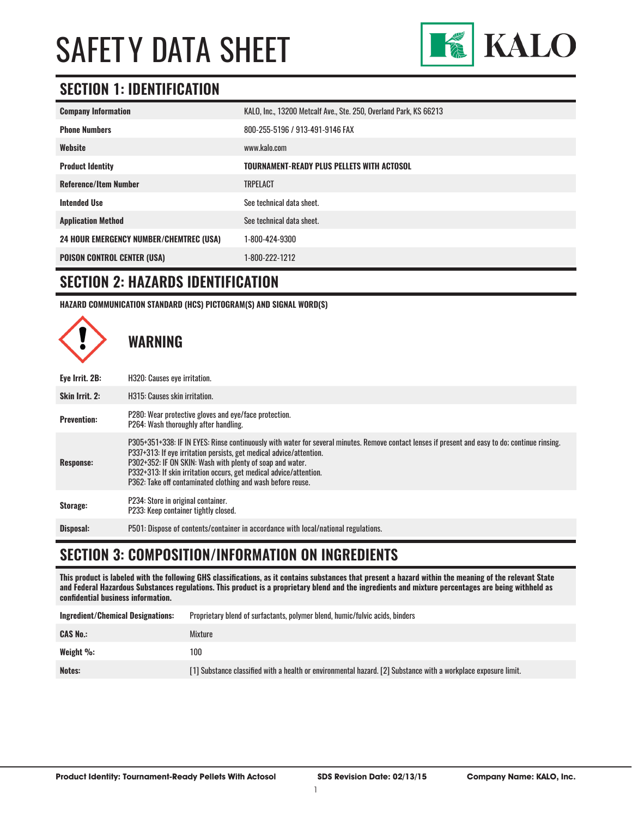

### **SECTION 1: IDENTIFICATION**

| <b>Company Information</b>                     | KALO, Inc., 13200 Metcalf Ave., Ste. 250, Overland Park, KS 66213 |
|------------------------------------------------|-------------------------------------------------------------------|
| <b>Phone Numbers</b>                           | 800-255-5196 / 913-491-9146 FAX                                   |
| Website                                        | www.kalo.com                                                      |
| <b>Product Identity</b>                        | TOURNAMENT-READY PLUS PELLETS WITH ACTOSOL                        |
| <b>Reference/Item Number</b>                   | <b>TRPELACT</b>                                                   |
| <b>Intended Use</b>                            | See technical data sheet.                                         |
| <b>Application Method</b>                      | See technical data sheet.                                         |
| <b>24 HOUR EMERGENCY NUMBER/CHEMTREC (USA)</b> | 1-800-424-9300                                                    |
| <b>POISON CONTROL CENTER (USA)</b>             | 1-800-222-1212                                                    |

#### **SECTION 2: HAZARDS IDENTIFICATION**

**HAZARD COMMUNICATION STANDARD (HCS) PICTOGRAM(S) AND SIGNAL WORD(S)**



#### **SECTION 3: COMPOSITION/INFORMATION ON INGREDIENTS**

**This product is labeled with the following GHS classifications, as it contains substances that present a hazard within the meaning of the relevant State and Federal Hazardous Substances regulations. This product is a proprietary blend and the ingredients and mixture percentages are being withheld as confidential business information.**

| <b>Ingredient/Chemical Designations:</b> | Proprietary blend of surfactants, polymer blend, humic/fulvic acids, binders                                   |
|------------------------------------------|----------------------------------------------------------------------------------------------------------------|
| <b>CAS No.:</b>                          | Mixture                                                                                                        |
| Weight %:                                | 100                                                                                                            |
| Notes:                                   | [1] Substance classified with a health or environmental hazard. [2] Substance with a workplace exposure limit. |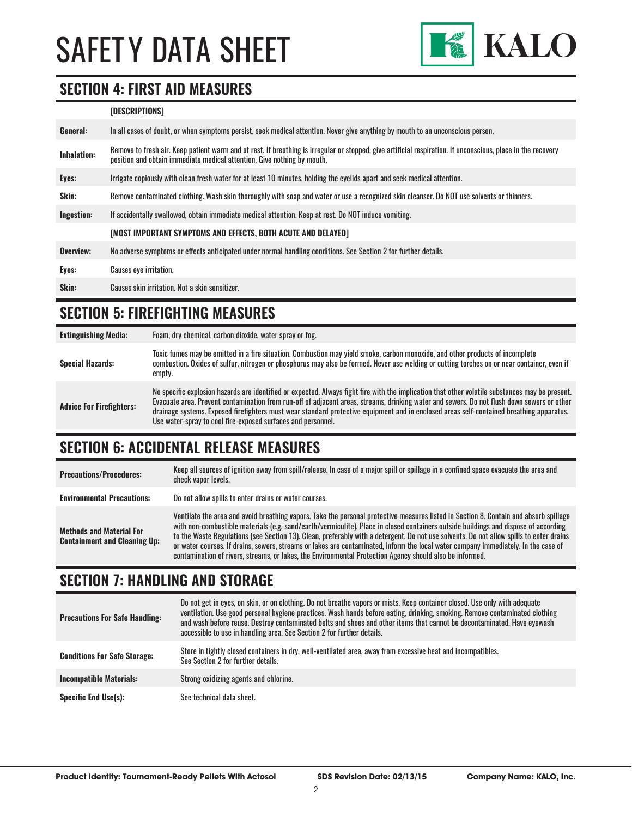

### **SECTION 4: FIRST AID MEASURES**

#### **[DESCRIPTIONS]**

| General:           | In all cases of doubt, or when symptoms persist, seek medical attention. Never give anything by mouth to an unconscious person.                                                                                                         |
|--------------------|-----------------------------------------------------------------------------------------------------------------------------------------------------------------------------------------------------------------------------------------|
| <b>Inhalation:</b> | Remove to fresh air. Keep patient warm and at rest. If breathing is irregular or stopped, give artificial respiration. If unconscious, place in the recovery<br>position and obtain immediate medical attention. Give nothing by mouth. |
| Eyes:              | Irrigate copiously with clean fresh water for at least 10 minutes, holding the eyelids apart and seek medical attention.                                                                                                                |
| Skin:              | Remove contaminated clothing. Wash skin thoroughly with soap and water or use a recognized skin cleanser. Do NOT use solvents or thinners.                                                                                              |
| Ingestion:         | If accidentally swallowed, obtain immediate medical attention. Keep at rest. Do NOT induce vomiting.                                                                                                                                    |
|                    | [MOST IMPORTANT SYMPTOMS AND EFFECTS, BOTH ACUTE AND DELAYED]                                                                                                                                                                           |
| Overview:          | No adverse symptoms or effects anticipated under normal handling conditions. See Section 2 for further details.                                                                                                                         |
| Eyes:              | <b>Causes eye irritation.</b>                                                                                                                                                                                                           |
| Skin:              | Causes skin irritation. Not a skin sensitizer.                                                                                                                                                                                          |

## **SECTION 5: FIREFIGHTING MEASURES**

| <b>Extinguishing Media:</b>     | Foam, dry chemical, carbon dioxide, water spray or fog.                                                                                                                                                                                                                                                                                                                                                                                                                                                   |
|---------------------------------|-----------------------------------------------------------------------------------------------------------------------------------------------------------------------------------------------------------------------------------------------------------------------------------------------------------------------------------------------------------------------------------------------------------------------------------------------------------------------------------------------------------|
| <b>Special Hazards:</b>         | Toxic fumes may be emitted in a fire situation. Combustion may yield smoke, carbon monoxide, and other products of incomplete<br>combustion. Oxides of sulfur, nitrogen or phosphorus may also be formed. Never use welding or cutting torches on or near container, even if<br>empty.                                                                                                                                                                                                                    |
| <b>Advice For Firefighters:</b> | No specific explosion hazards are identified or expected. Always fight fire with the implication that other volatile substances may be present.<br>Evacuate area. Prevent contamination from run-off of adjacent areas, streams, drinking water and sewers. Do not flush down sewers or other<br>drainage systems. Exposed firefighters must wear standard protective equipment and in enclosed areas self-contained breathing apparatus.<br>Use water-spray to cool fire-exposed surfaces and personnel. |

### **SECTION 6: ACCIDENTAL RELEASE MEASURES**

| <b>Precautions/Procedures:</b>                                         | Keep all sources of ignition away from spill/release. In case of a major spill or spillage in a confined space evacuate the area and<br>check vapor levels.                                                                                                                                                                                                                                                                                                                                                                                                                                                                                                               |
|------------------------------------------------------------------------|---------------------------------------------------------------------------------------------------------------------------------------------------------------------------------------------------------------------------------------------------------------------------------------------------------------------------------------------------------------------------------------------------------------------------------------------------------------------------------------------------------------------------------------------------------------------------------------------------------------------------------------------------------------------------|
| <b>Environmental Precautions:</b>                                      | Do not allow spills to enter drains or water courses.                                                                                                                                                                                                                                                                                                                                                                                                                                                                                                                                                                                                                     |
| <b>Methods and Material For</b><br><b>Containment and Cleaning Up:</b> | Ventilate the area and avoid breathing vapors. Take the personal protective measures listed in Section 8. Contain and absorb spillage<br>with non-combustible materials (e.g. sand/earth/vermiculite). Place in closed containers outside buildings and dispose of according<br>to the Waste Regulations (see Section 13). Clean, preferably with a detergent. Do not use solvents. Do not allow spills to enter drains<br>or water courses. If drains, sewers, streams or lakes are contaminated, inform the local water company immediately. In the case of<br>contamination of rivers, streams, or lakes, the Environmental Protection Agency should also be informed. |

### **SECTION 7: HANDLING AND STORAGE**

| <b>Precautions For Safe Handling:</b> | Do not get in eyes, on skin, or on clothing. Do not breathe vapors or mists. Keep container closed. Use only with adequate<br>ventilation. Use good personal hygiene practices. Wash hands before eating, drinking, smoking. Remove contaminated clothing<br>and wash before reuse. Destrov contaminated belts and shoes and other items that cannot be decontaminated. Have evewash<br>accessible to use in handling area. See Section 2 for further details. |
|---------------------------------------|----------------------------------------------------------------------------------------------------------------------------------------------------------------------------------------------------------------------------------------------------------------------------------------------------------------------------------------------------------------------------------------------------------------------------------------------------------------|
| <b>Conditions For Safe Storage:</b>   | Store in tightly closed containers in dry, well-ventilated area, away from excessive heat and incompatibles.<br>See Section 2 for further details.                                                                                                                                                                                                                                                                                                             |
| <b>Incompatible Materials:</b>        | Strong oxidizing agents and chlorine.                                                                                                                                                                                                                                                                                                                                                                                                                          |
| <b>Specific End Use(s):</b>           | See technical data sheet.                                                                                                                                                                                                                                                                                                                                                                                                                                      |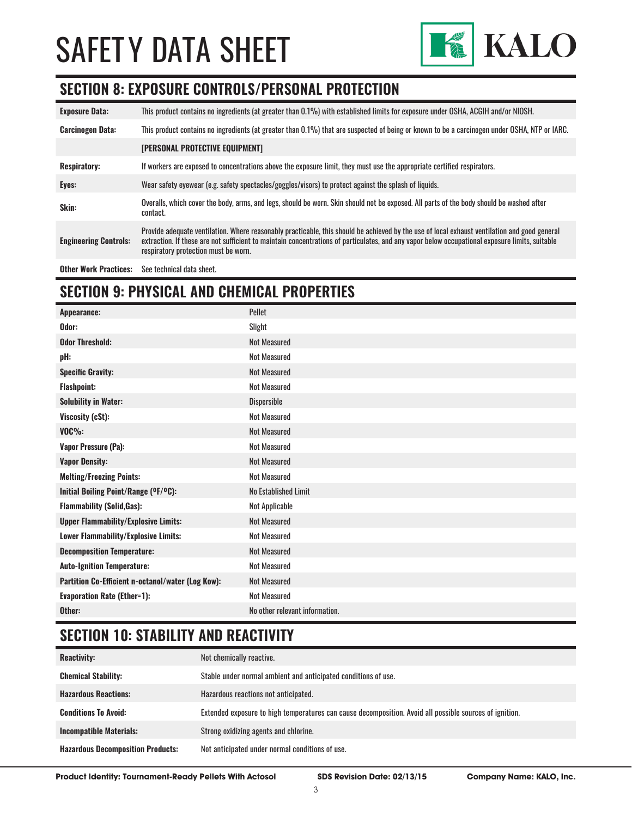

#### **SECTION 8: EXPOSURE CONTROLS/PERSONAL PROTECTION**

| <b>Exposure Data:</b>        | This product contains no ingredients (at greater than 0.1%) with established limits for exposure under OSHA, ACGIH and/or NIOSH.                                                                                                                                                                                                       |
|------------------------------|----------------------------------------------------------------------------------------------------------------------------------------------------------------------------------------------------------------------------------------------------------------------------------------------------------------------------------------|
| <b>Carcinogen Data:</b>      | This product contains no ingredients (at greater than 0.1%) that are suspected of being or known to be a carcinogen under OSHA, NTP or IARC.                                                                                                                                                                                           |
|                              | <b>[PERSONAL PROTECTIVE EQUIPMENT]</b>                                                                                                                                                                                                                                                                                                 |
| <b>Respiratory:</b>          | If workers are exposed to concentrations above the exposure limit, they must use the appropriate certified respirators.                                                                                                                                                                                                                |
| Eyes:                        | Wear safety eyewear (e.g. safety spectacles/goggles/visors) to protect against the splash of liquids.                                                                                                                                                                                                                                  |
| Skin:                        | Overalls, which cover the body, arms, and legs, should be worn. Skin should not be exposed. All parts of the body should be washed after<br>contact.                                                                                                                                                                                   |
| <b>Engineering Controls:</b> | Provide adequate ventilation. Where reasonably practicable, this should be achieved by the use of local exhaust ventilation and good general<br>extraction. If these are not sufficient to maintain concentrations of particulates, and any vapor below occupational exposure limits, suitable<br>respiratory protection must be worn. |
| <b>Other Work Practices:</b> | See technical data sheet.                                                                                                                                                                                                                                                                                                              |

### **SECTION 9: PHYSICAL AND CHEMICAL PROPERTIES**

| Appearance:                                       | Pellet                         |
|---------------------------------------------------|--------------------------------|
| Odor:                                             | Slight                         |
| <b>Odor Threshold:</b>                            | <b>Not Measured</b>            |
| pH:                                               | <b>Not Measured</b>            |
| <b>Specific Gravity:</b>                          | <b>Not Measured</b>            |
| <b>Flashpoint:</b>                                | <b>Not Measured</b>            |
| <b>Solubility in Water:</b>                       | Dispersible                    |
| Viscosity (cSt):                                  | <b>Not Measured</b>            |
| $VOC\%$ :                                         | <b>Not Measured</b>            |
| <b>Vapor Pressure (Pa):</b>                       | <b>Not Measured</b>            |
| <b>Vapor Density:</b>                             | <b>Not Measured</b>            |
| <b>Melting/Freezing Points:</b>                   | <b>Not Measured</b>            |
| Initial Boiling Point/Range (OF/OC):              | No Established Limit           |
| <b>Flammability (Solid, Gas):</b>                 | Not Applicable                 |
| <b>Upper Flammability/Explosive Limits:</b>       | <b>Not Measured</b>            |
| Lower Flammability/Explosive Limits:              | <b>Not Measured</b>            |
| <b>Decomposition Temperature:</b>                 | <b>Not Measured</b>            |
| <b>Auto-Ignition Temperature:</b>                 | <b>Not Measured</b>            |
| Partition Co-Efficient n-octanol/water (Log Kow): | <b>Not Measured</b>            |
| <b>Evaporation Rate (Ether=1):</b>                | <b>Not Measured</b>            |
| Other:                                            | No other relevant information. |

### **SECTION 10: STABILITY AND REACTIVITY**

| <b>Reactivity:</b>                       | Not chemically reactive.                                                                                |
|------------------------------------------|---------------------------------------------------------------------------------------------------------|
| <b>Chemical Stability:</b>               | Stable under normal ambient and anticipated conditions of use.                                          |
| <b>Hazardous Reactions:</b>              | Hazardous reactions not anticipated.                                                                    |
| <b>Conditions To Avoid:</b>              | Extended exposure to high temperatures can cause decomposition. Avoid all possible sources of ignition. |
| <b>Incompatible Materials:</b>           | Strong oxidizing agents and chlorine.                                                                   |
| <b>Hazardous Decomposition Products:</b> | Not anticipated under normal conditions of use.                                                         |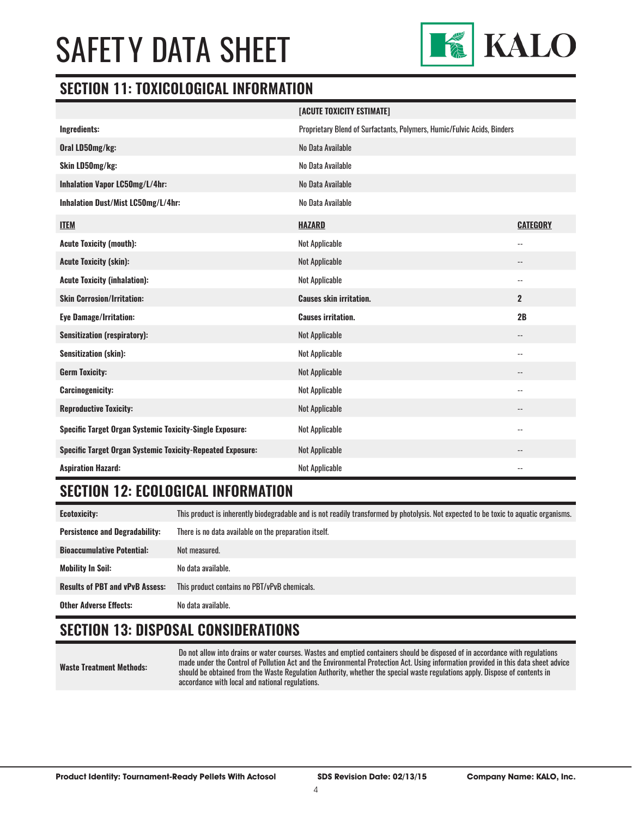

#### **SECTION 11: TOXICOLOGICAL INFORMATION**

|                                                                   | [ACUTE TOXICITY ESTIMATE]                                               |                            |
|-------------------------------------------------------------------|-------------------------------------------------------------------------|----------------------------|
| Ingredients:                                                      | Proprietary Blend of Surfactants, Polymers, Humic/Fulvic Acids, Binders |                            |
| Oral LD50mg/kg:                                                   | No Data Available                                                       |                            |
| Skin LD50mg/kg:                                                   | No Data Available                                                       |                            |
| Inhalation Vapor LC50mg/L/4hr:                                    | No Data Available                                                       |                            |
| Inhalation Dust/Mist LC50mg/L/4hr:                                | No Data Available                                                       |                            |
| <b>ITEM</b>                                                       | <b>HAZARD</b>                                                           | <b>CATEGORY</b>            |
| <b>Acute Toxicity (mouth):</b>                                    | Not Applicable                                                          | $\overline{\phantom{a}}$ . |
| <b>Acute Toxicity (skin):</b>                                     | Not Applicable                                                          | $\qquad \qquad -$          |
| <b>Acute Toxicity (inhalation):</b>                               | Not Applicable                                                          | $\overline{\phantom{a}}$   |
| <b>Skin Corrosion/Irritation:</b>                                 | <b>Causes skin irritation.</b>                                          | $\overline{2}$             |
| <b>Eye Damage/Irritation:</b>                                     | <b>Causes irritation.</b>                                               | 2B                         |
| <b>Sensitization (respiratory):</b>                               | Not Applicable                                                          | --                         |
| <b>Sensitization (skin):</b>                                      | Not Applicable                                                          | $\overline{\phantom{a}}$ . |
| <b>Germ Toxicity:</b>                                             | Not Applicable                                                          | $-$                        |
| <b>Carcinogenicity:</b>                                           | <b>Not Applicable</b>                                                   | $\overline{\phantom{a}}$ . |
| <b>Reproductive Toxicity:</b>                                     | Not Applicable                                                          |                            |
| <b>Specific Target Organ Systemic Toxicity-Single Exposure:</b>   | Not Applicable                                                          | $\overline{\phantom{a}}$   |
| <b>Specific Target Organ Systemic Toxicity-Repeated Exposure:</b> | Not Applicable                                                          | $\overline{\phantom{a}}$   |
| <b>Aspiration Hazard:</b>                                         | <b>Not Applicable</b>                                                   | $\overline{\phantom{a}}$ . |

### **SECTION 12: ECOLOGICAL INFORMATION**

**Ecotoxicity:** This product is inherently biodegradable and is not readily transformed by photolysis. Not expected to be toxic to aquatic organisms. **Persistence and Degradability:** There is no data available on the preparation itself. **Bioaccumulative Potential:** Not measured. **Mobility In Soil:** No data available. **Results of PBT and vPvB Assess:** This product contains no PBT/vPvB chemicals. **Other Adverse Effects:** No data available.

### **SECTION 13: DISPOSAL CONSIDERATIONS**

**Waste Treatment Methods:**

Do not allow into drains or water courses. Wastes and emptied containers should be disposed of in accordance with regulations made under the Control of Pollution Act and the Environmental Protection Act. Using information provided in this data sheet advice should be obtained from the Waste Regulation Authority, whether the special waste regulations apply. Dispose of contents in accordance with local and national regulations.